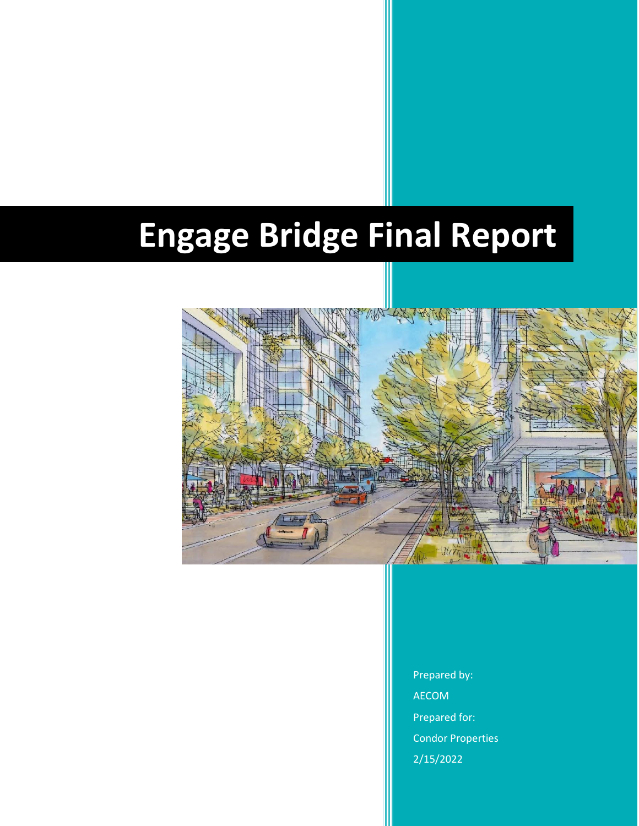# **Engage Bridge Final Report**



Prepared by: AECOM Prepared for: Condor Properties 2/15/2022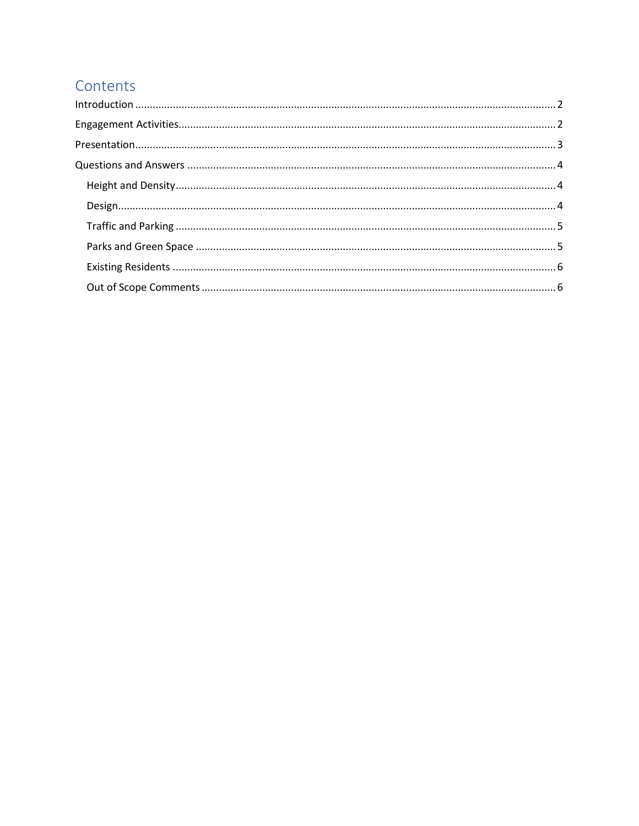# Contents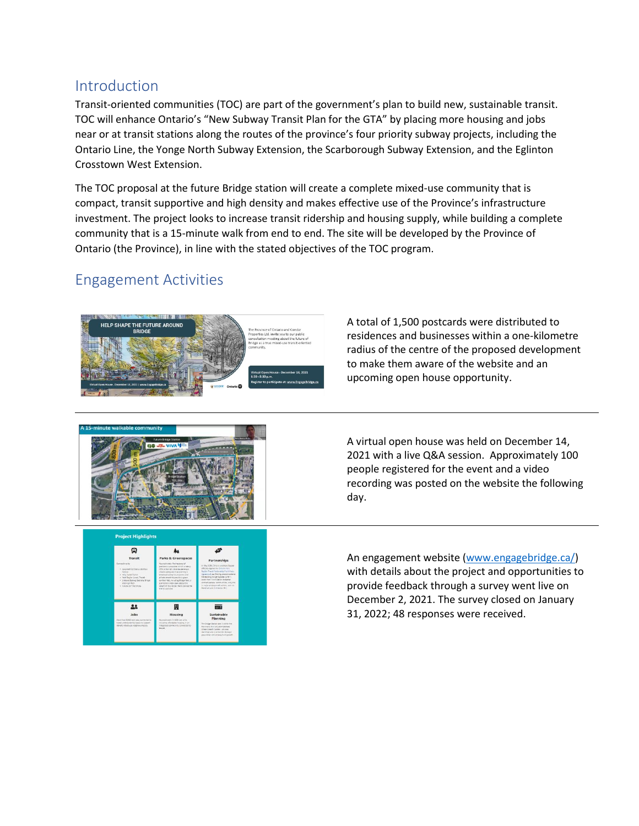## <span id="page-2-0"></span>Introduction

Transit-oriented communities (TOC) are part of the government's plan to build new, sustainable transit. TOC will enhance Ontario's "New Subway Transit Plan for the GTA" by placing more housing and jobs near or at transit stations along the routes of the province's four priority subway projects, including the Ontario Line, the Yonge North Subway Extension, the Scarborough Subway Extension, and the Eglinton Crosstown West Extension.

The TOC proposal at the future Bridge station will create a complete mixed-use community that is compact, transit supportive and high density and makes effective use of the Province's infrastructure investment. The project looks to increase transit ridership and housing supply, while building a complete community that is a 15-minute walk from end to end. The site will be developed by the Province of Ontario (the Province), in line with the stated objectives of the TOC program.

# <span id="page-2-1"></span>Engagement Activities



A total of 1,500 postcards were distributed to residences and businesses within a one-kilometre radius of the centre of the proposed development to make them aware of the website and an upcoming open house opportunity.



<span id="page-2-2"></span>**Project Highlights** Q  $\frac{1}{2}$  $22$ 圓 ᆖ A virtual open house was held on December 14, 2021 with a live Q&A session. Approximately 100 people registered for the event and a video recording was posted on the website the following day.

An engagement website [\(www.engagebridge.ca/\)](http://www.engagebridge.ca/) with details about the project and opportunities to provide feedback through a survey went live on December 2, 2021. The survey closed on January 31, 2022; 48 responses were received.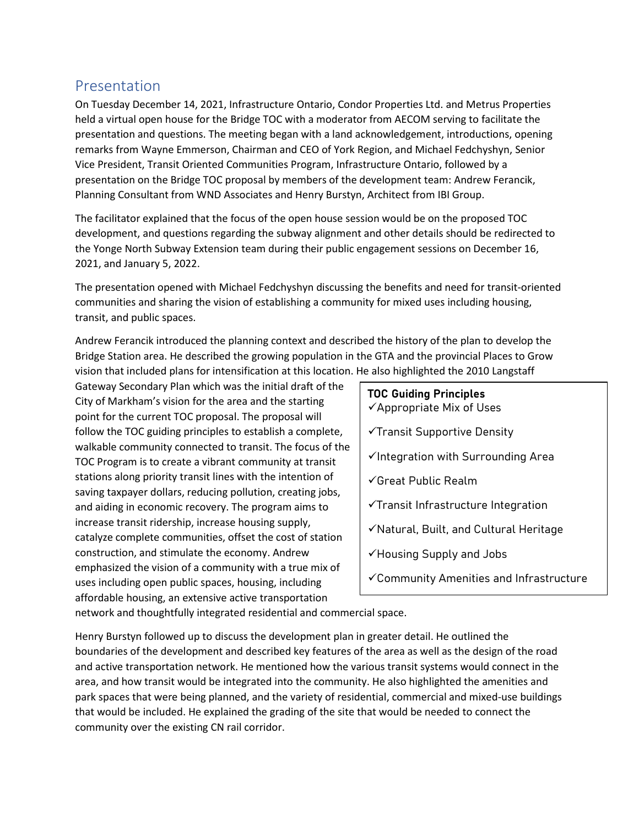## Presentation

On Tuesday December 14, 2021, Infrastructure Ontario, Condor Properties Ltd. and Metrus Properties held a virtual open house for the Bridge TOC with a moderator from AECOM serving to facilitate the presentation and questions. The meeting began with a land acknowledgement, introductions, opening remarks from Wayne Emmerson, Chairman and CEO of York Region, and Michael Fedchyshyn, Senior Vice President, Transit Oriented Communities Program, Infrastructure Ontario, followed by a presentation on the Bridge TOC proposal by members of the development team: Andrew Ferancik, Planning Consultant from WND Associates and Henry Burstyn, Architect from IBI Group.

The facilitator explained that the focus of the open house session would be on the proposed TOC development, and questions regarding the subway alignment and other details should be redirected to the Yonge North Subway Extension team during their public engagement sessions on December 16, 2021, and January 5, 2022.

The presentation opened with Michael Fedchyshyn discussing the benefits and need for transit-oriented communities and sharing the vision of establishing a community for mixed uses including housing, transit, and public spaces.

Andrew Ferancik introduced the planning context and described the history of the plan to develop the Bridge Station area. He described the growing population in the GTA and the provincial Places to Grow vision that included plans for intensification at this location. He also highlighted the 2010 Langstaff

Gateway Secondary Plan which was the initial draft of the City of Markham's vision for the area and the starting point for the current TOC proposal. The proposal will follow the TOC guiding principles to establish a complete, walkable community connected to transit. The focus of the TOC Program is to create a vibrant community at transit stations along priority transit lines with the intention of saving taxpayer dollars, reducing pollution, creating jobs, and aiding in economic recovery. The program aims to increase transit ridership, increase housing supply, catalyze complete communities, offset the cost of station construction, and stimulate the economy. Andrew emphasized the vision of a community with a true mix of uses including open public spaces, housing, including affordable housing, an extensive active transportation

# **TOC Guiding Principles**

- ✓Appropriate Mix of Uses
- ✓Transit Supportive Density
- $\checkmark$ Integration with Surrounding Area
- ✓Great Public Realm
- ✓Transit Infrastructure Integration
- ✓Natural, Built, and Cultural Heritage
- ✓Housing Supply and Jobs
- ✓Community Amenities and Infrastructure

network and thoughtfully integrated residential and commercial space.

Henry Burstyn followed up to discuss the development plan in greater detail. He outlined the boundaries of the development and described key features of the area as well as the design of the road and active transportation network. He mentioned how the various transit systems would connect in the area, and how transit would be integrated into the community. He also highlighted the amenities and park spaces that were being planned, and the variety of residential, commercial and mixed-use buildings that would be included. He explained the grading of the site that would be needed to connect the community over the existing CN rail corridor.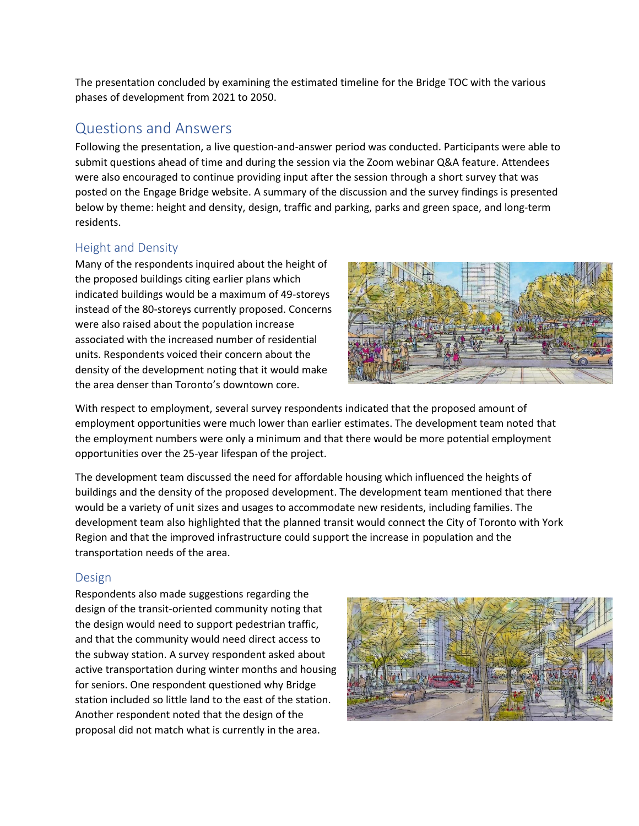The presentation concluded by examining the estimated timeline for the Bridge TOC with the various phases of development from 2021 to 2050.

## <span id="page-4-0"></span>Questions and Answers

Following the presentation, a live question-and-answer period was conducted. Participants were able to submit questions ahead of time and during the session via the Zoom webinar Q&A feature. Attendees were also encouraged to continue providing input after the session through a short survey that was posted on the Engage Bridge website. A summary of the discussion and the survey findings is presented below by theme: height and density, design, traffic and parking, parks and green space, and long-term residents.

## <span id="page-4-1"></span>Height and Density

Many of the respondents inquired about the height of the proposed buildings citing earlier plans which indicated buildings would be a maximum of 49-storeys instead of the 80-storeys currently proposed. Concerns were also raised about the population increase associated with the increased number of residential units. Respondents voiced their concern about the density of the development noting that it would make the area denser than Toronto's downtown core.



With respect to employment, several survey respondents indicated that the proposed amount of employment opportunities were much lower than earlier estimates. The development team noted that the employment numbers were only a minimum and that there would be more potential employment opportunities over the 25-year lifespan of the project.

The development team discussed the need for affordable housing which influenced the heights of buildings and the density of the proposed development. The development team mentioned that there would be a variety of unit sizes and usages to accommodate new residents, including families. The development team also highlighted that the planned transit would connect the City of Toronto with York Region and that the improved infrastructure could support the increase in population and the transportation needs of the area.

#### <span id="page-4-2"></span>Design

Respondents also made suggestions regarding the design of the transit-oriented community noting that the design would need to support pedestrian traffic, and that the community would need direct access to the subway station. A survey respondent asked about active transportation during winter months and housing for seniors. One respondent questioned why Bridge station included so little land to the east of the station. Another respondent noted that the design of the proposal did not match what is currently in the area.

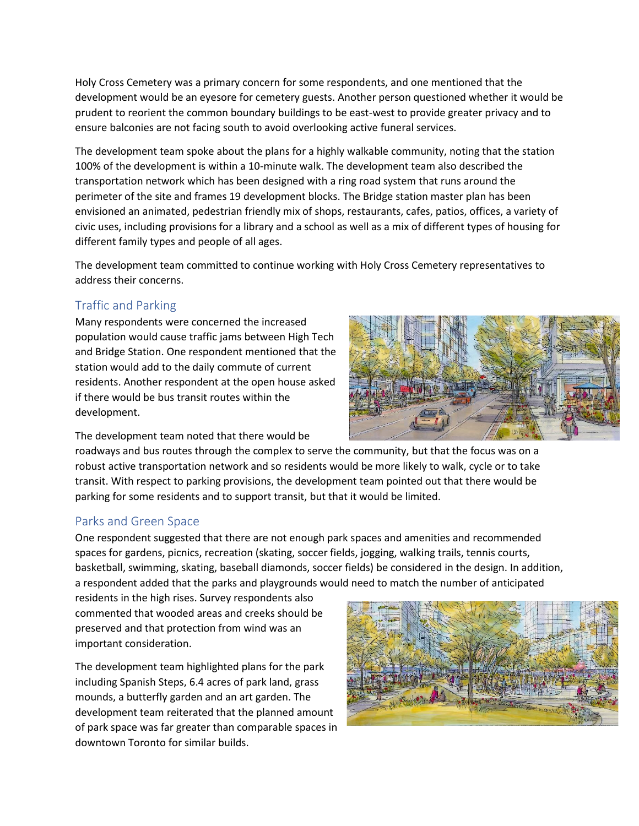Holy Cross Cemetery was a primary concern for some respondents, and one mentioned that the development would be an eyesore for cemetery guests. Another person questioned whether it would be prudent to reorient the common boundary buildings to be east-west to provide greater privacy and to ensure balconies are not facing south to avoid overlooking active funeral services.

The development team spoke about the plans for a highly walkable community, noting that the station 100% of the development is within a 10-minute walk. The development team also described the transportation network which has been designed with a ring road system that runs around the perimeter of the site and frames 19 development blocks. The Bridge station master plan has been envisioned an animated, pedestrian friendly mix of shops, restaurants, cafes, patios, offices, a variety of civic uses, including provisions for a library and a school as well as a mix of different types of housing for different family types and people of all ages.

The development team committed to continue working with Holy Cross Cemetery representatives to address their concerns.

## <span id="page-5-0"></span>Traffic and Parking

Many respondents were concerned the increased population would cause traffic jams between High Tech and Bridge Station. One respondent mentioned that the station would add to the daily commute of current residents. Another respondent at the open house asked if there would be bus transit routes within the development.

The development team noted that there would be

roadways and bus routes through the complex to serve the community, but that the focus was on a robust active transportation network and so residents would be more likely to walk, cycle or to take transit. With respect to parking provisions, the development team pointed out that there would be parking for some residents and to support transit, but that it would be limited.

#### <span id="page-5-1"></span>Parks and Green Space

One respondent suggested that there are not enough park spaces and amenities and recommended spaces for gardens, picnics, recreation (skating, soccer fields, jogging, walking trails, tennis courts, basketball, swimming, skating, baseball diamonds, soccer fields) be considered in the design. In addition, a respondent added that the parks and playgrounds would need to match the number of anticipated

residents in the high rises. Survey respondents also commented that wooded areas and creeks should be preserved and that protection from wind was an important consideration.

The development team highlighted plans for the park including Spanish Steps, 6.4 acres of park land, grass mounds, a butterfly garden and an art garden. The development team reiterated that the planned amount of park space was far greater than comparable spaces in downtown Toronto for similar builds.